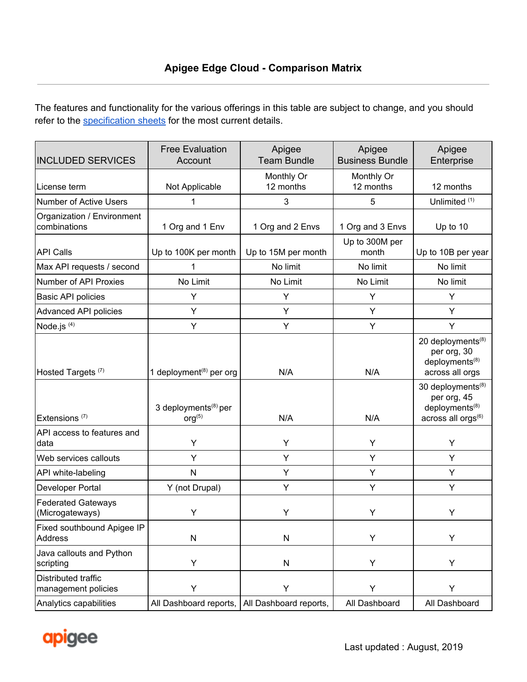The features and functionality for the various offerings in this table are subject to change, and you should refer to the [specification](https://apigee.com/about/specification-sheets) sheets for the most current details.

| <b>INCLUDED SERVICES</b>                     | <b>Free Evaluation</b><br>Account                      | Apigee<br><b>Team Bundle</b> | Apigee<br><b>Business Bundle</b> | Apigee<br>Enterprise                                                                                         |
|----------------------------------------------|--------------------------------------------------------|------------------------------|----------------------------------|--------------------------------------------------------------------------------------------------------------|
| License term                                 | Not Applicable                                         | Monthly Or<br>12 months      | Monthly Or<br>12 months          | 12 months                                                                                                    |
| <b>Number of Active Users</b>                | 1                                                      | 3                            | 5                                | Unlimited <sup>(1)</sup>                                                                                     |
| Organization / Environment<br>combinations   | 1 Org and 1 Env                                        | 1 Org and 2 Envs             | 1 Org and 3 Envs                 | Up to 10                                                                                                     |
| <b>API Calls</b>                             | Up to 100K per month                                   | Up to 15M per month          | Up to 300M per<br>month          | Up to 10B per year                                                                                           |
| Max API requests / second                    | 1                                                      | No limit                     | No limit                         | No limit                                                                                                     |
| Number of API Proxies                        | No Limit                                               | No Limit                     | No Limit                         | No limit                                                                                                     |
| <b>Basic API policies</b>                    | Υ                                                      | Υ                            | Υ                                | Υ                                                                                                            |
| Advanced API policies                        | Υ                                                      | Y                            | Y                                | Υ                                                                                                            |
| Node.js $(4)$                                | Υ                                                      | Υ                            | Υ                                | Υ                                                                                                            |
| Hosted Targets <sup>(7)</sup>                | 1 deployment <sup>(8)</sup> per org                    | N/A                          | N/A                              | 20 deployments <sup>(8)</sup><br>per org, 30<br>deployments <sup>(8)</sup><br>across all orgs                |
| Extensions <sup>(7)</sup>                    | 3 deployments <sup>(8)</sup> per<br>org <sup>(5)</sup> | N/A                          | N/A                              | 30 deployments <sup>(8)</sup><br>per org, 45<br>deployments <sup>(8)</sup><br>across all orgs <sup>(6)</sup> |
| API access to features and<br>data           | Υ                                                      | Υ                            | Υ                                | Υ                                                                                                            |
| Web services callouts                        | Υ                                                      | Y                            | Υ                                | Y                                                                                                            |
| API white-labeling                           | N                                                      | Υ                            | Υ                                | Y                                                                                                            |
| Developer Portal                             | Y (not Drupal)                                         | Υ                            | Υ                                | Υ                                                                                                            |
| <b>Federated Gateways</b><br>(Microgateways) | Y                                                      | Υ                            | Υ                                | Y                                                                                                            |
| Fixed southbound Apigee IP<br><b>Address</b> | ${\sf N}$                                              | N                            | Υ                                | Υ                                                                                                            |
| Java callouts and Python<br>scripting        | Y                                                      | N                            | Υ                                | Υ                                                                                                            |
| Distributed traffic<br>management policies   | Υ                                                      | Υ                            | Υ                                | Υ                                                                                                            |
| Analytics capabilities                       | All Dashboard reports,                                 | All Dashboard reports,       | All Dashboard                    | All Dashboard                                                                                                |

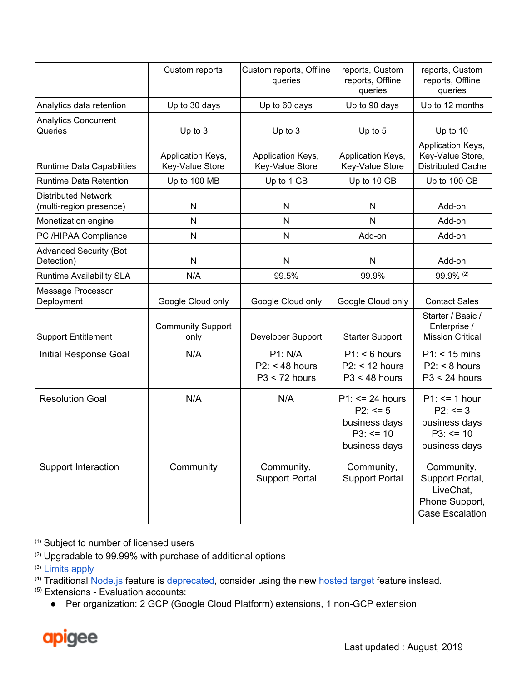|                                                       | Custom reports                       | Custom reports, Offline<br>queries                    | reports, Custom<br>reports, Offline<br>queries                                      | reports, Custom<br>reports, Offline<br>queries                                         |
|-------------------------------------------------------|--------------------------------------|-------------------------------------------------------|-------------------------------------------------------------------------------------|----------------------------------------------------------------------------------------|
| Analytics data retention                              | Up to 30 days                        | Up to 60 days                                         | Up to 90 days                                                                       | Up to 12 months                                                                        |
| <b>Analytics Concurrent</b><br>Queries                | Up to $3$                            | Up to $3$                                             | Up to 5                                                                             | Up to 10                                                                               |
| <b>Runtime Data Capabilities</b>                      | Application Keys,<br>Key-Value Store | Application Keys,<br>Key-Value Store                  | Application Keys,<br>Key-Value Store                                                | Application Keys,<br>Key-Value Store,<br><b>Distributed Cache</b>                      |
| <b>Runtime Data Retention</b>                         | Up to 100 MB                         | Up to 1 GB                                            | Up to 10 GB                                                                         | Up to 100 GB                                                                           |
| <b>Distributed Network</b><br>(multi-region presence) | N                                    | N                                                     | N                                                                                   | Add-on                                                                                 |
| Monetization engine                                   | N                                    | N                                                     | N                                                                                   | Add-on                                                                                 |
| PCI/HIPAA Compliance                                  | N                                    | N                                                     | Add-on                                                                              | Add-on                                                                                 |
| <b>Advanced Security (Bot</b><br>Detection)           | N                                    | N                                                     | ${\sf N}$                                                                           | Add-on                                                                                 |
| <b>Runtime Availability SLA</b>                       | N/A                                  | 99.5%                                                 | 99.9%                                                                               | 99.9% (2)                                                                              |
| Message Processor<br>Deployment                       | Google Cloud only                    | Google Cloud only                                     | Google Cloud only                                                                   | <b>Contact Sales</b>                                                                   |
| <b>Support Entitlement</b>                            | <b>Community Support</b><br>only     | Developer Support                                     | <b>Starter Support</b>                                                              | Starter / Basic /<br>Enterprise /<br><b>Mission Critical</b>                           |
| Initial Response Goal                                 | N/A                                  | <b>P1: N/A</b><br>$P2: < 48$ hours<br>$P3 < 72$ hours | P1: 6 hours<br>$P2:$ < 12 hours<br>$P3 < 48$ hours                                  | $P1:$ < 15 mins<br>$P2: < 8$ hours<br>$P3 < 24$ hours                                  |
| <b>Resolution Goal</b>                                | N/A                                  | N/A                                                   | $P1: \le 24$ hours<br>$P2: \le 5$<br>business days<br>$P3: \le 10$<br>business days | $P1: \le 1$ hour<br>$P2: \le 3$<br>business days<br>$P3: \le 10$<br>business days      |
| <b>Support Interaction</b>                            | Community                            | Community,<br><b>Support Portal</b>                   | Community,<br><b>Support Portal</b>                                                 | Community,<br>Support Portal,<br>LiveChat,<br>Phone Support,<br><b>Case Escalation</b> |

(1) Subject to number of licensed users

<sup>(2)</sup> Upgradable to 99.99% with purchase of additional options

(3) [Limits](https://docs.apigee.com/api-platform/reference/limits) apply

<sup>(4)</sup> Traditional [Node.js](https://docs.apigee.com/api-platform/nodejs/overview-nodejs-apigee-edge) feature is [deprecated](https://docs.apigee.com/release/deprecated-features#deprecations), consider using the new [hosted](https://docs.apigee.com/api-platform/hosted-targets/hosted-targets-overview) target feature instead.

(5) Extensions - Evaluation accounts:

● Per organization: 2 GCP (Google Cloud Platform) extensions, 1 non-GCP extension